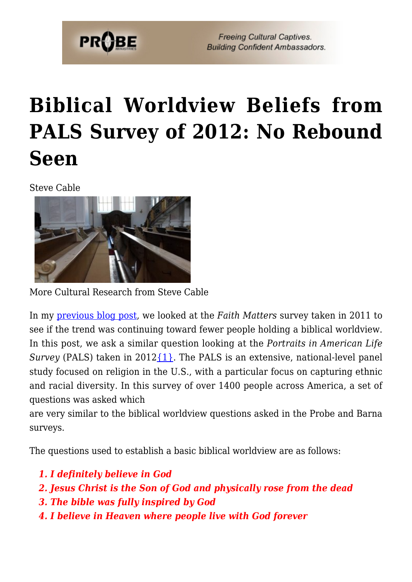

# **[Biblical Worldview Beliefs from](https://probe.org/biblical-worldview-beliefs-from-pals-survey-of-2012-no-rebound-seen/) [PALS Survey of 2012: No Rebound](https://probe.org/biblical-worldview-beliefs-from-pals-survey-of-2012-no-rebound-seen/) [Seen](https://probe.org/biblical-worldview-beliefs-from-pals-survey-of-2012-no-rebound-seen/)**

Steve Cable



More Cultural Research from Steve Cable

In my [previous blog post,](https://www.probe.org/biblical-worldview-beliefs-as-seen-in-the-faith-matters-survey-of-2011/) we looked at the *Faith Matters* survey taken in 2011 to see if the trend was continuing toward fewer people holding a biblical worldview. In this post, we ask a similar question looking at the *Portraits in American Life Survey* (PALS) taken in 2012 $\{1\}$ . The PALS is an extensive, national-level panel study focused on religion in the U.S., with a particular focus on capturing ethnic and racial diversity. In this survey of over 1400 people across America, a set of questions was asked which

are very similar to the biblical worldview questions asked in the Probe and Barna surveys.

The questions used to establish a basic biblical worldview are as follows:

- *1. I definitely believe in God*
- *2. Jesus Christ is the Son of God and physically rose from the dead*
- *3. The bible was fully inspired by God*
- *4. I believe in Heaven where people live with God forever*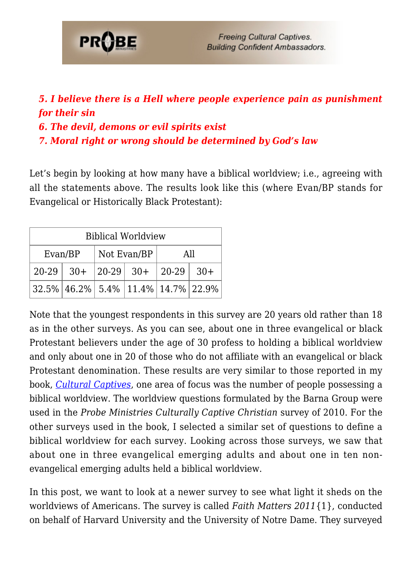

### *5. I believe there is a Hell where people experience pain as punishment for their sin*

- *6. The devil, demons or evil spirits exist*
- *7. Moral right or wrong should be determined by God's law*

Let's begin by looking at how many have a biblical worldview; i.e., agreeing with all the statements above. The results look like this (where Evan/BP stands for Evangelical or Historically Black Protestant):

| <b>Biblical Worldview</b> |                                                 |             |  |     |  |  |
|---------------------------|-------------------------------------------------|-------------|--|-----|--|--|
| Evan/BP                   |                                                 | Not Evan/BP |  | All |  |  |
|                           | $20-29$ 30+ 20-29 30+ 20-29 30+                 |             |  |     |  |  |
|                           | $32.5\%$   46.2%   5.4%   11.4%   14.7%   22.9% |             |  |     |  |  |

Note that the youngest respondents in this survey are 20 years old rather than 18 as in the other surveys. As you can see, about one in three evangelical or black Protestant believers under the age of 30 profess to holding a biblical worldview and only about one in 20 of those who do not affiliate with an evangelical or black Protestant denomination. These results are very similar to those reported in my book, *[Cultural Captives](https://www.probe.org/store/cultural-captives-by-steven-cable/)*, one area of focus was the number of people possessing a biblical worldview. The worldview questions formulated by the Barna Group were used in the *Probe Ministries Culturally Captive Christian* survey of 2010. For the other surveys used in the book, I selected a similar set of questions to define a biblical worldview for each survey. Looking across those surveys, we saw that about one in three evangelical emerging adults and about one in ten nonevangelical emerging adults held a biblical worldview.

In this post, we want to look at a newer survey to see what light it sheds on the worldviews of Americans. The survey is called *Faith Matters 2011*{1}, conducted on behalf of Harvard University and the University of Notre Dame. They surveyed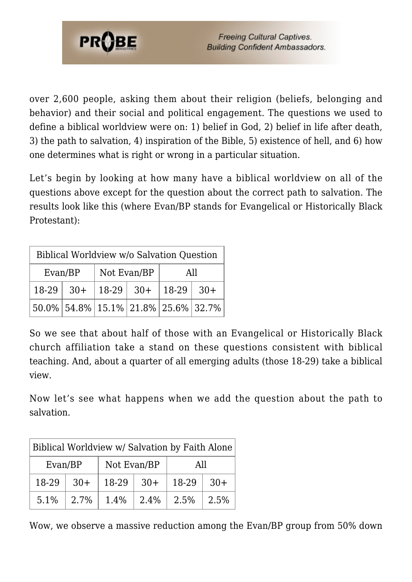

over 2,600 people, asking them about their religion (beliefs, belonging and behavior) and their social and political engagement. The questions we used to define a biblical worldview were on: 1) belief in God, 2) belief in life after death, 3) the path to salvation, 4) inspiration of the Bible, 5) existence of hell, and 6) how one determines what is right or wrong in a particular situation.

Let's begin by looking at how many have a biblical worldview on all of the questions above except for the question about the correct path to salvation. The results look like this (where Evan/BP stands for Evangelical or Historically Black Protestant):

| Biblical Worldview w/o Salvation Question |  |             |  |                             |                                        |  |
|-------------------------------------------|--|-------------|--|-----------------------------|----------------------------------------|--|
| Evan/BP                                   |  | Not Evan/BP |  | All                         |                                        |  |
| $18-29$ 30+                               |  |             |  | $ 18-29 $ 30+ $ 18-29 $ 30+ |                                        |  |
|                                           |  |             |  |                             | $50.0\%$ 54.8% 15.1% 21.8% 25.6% 32.7% |  |

So we see that about half of those with an Evangelical or Historically Black church affiliation take a stand on these questions consistent with biblical teaching. And, about a quarter of all emerging adults (those 18-29) take a biblical view.

Now let's see what happens when we add the question about the path to salvation.

| Biblical Worldview w/ Salvation by Faith Alone |       |             |       |       |       |  |
|------------------------------------------------|-------|-------------|-------|-------|-------|--|
| Evan/BP                                        |       | Not Evan/BP |       | All   |       |  |
| 18-29                                          | $30+$ | 18-29       | $30+$ | 18-29 | $30+$ |  |
| 5.1%                                           | 2.7%  | 1.4%        | 2.4%  | 2.5%  | 2.5%  |  |

Wow, we observe a massive reduction among the Evan/BP group from 50% down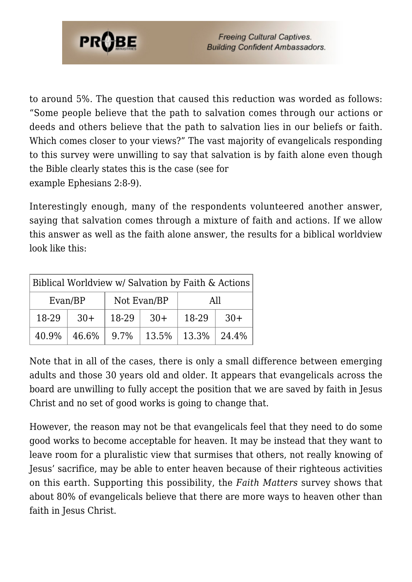

to around 5%. The question that caused this reduction was worded as follows: "Some people believe that the path to salvation comes through our actions or deeds and others believe that the path to salvation lies in our beliefs or faith. Which comes closer to your views?" The vast majority of evangelicals responding to this survey were unwilling to say that salvation is by faith alone even though the Bible clearly states this is the case (see for example Ephesians 2:8-9).

Interestingly enough, many of the respondents volunteered another answer, saying that salvation comes through a mixture of faith and actions. If we allow this answer as well as the faith alone answer, the results for a biblical worldview look like this:

| Biblical Worldview w/ Salvation by Faith & Actions |       |             |       |                  |       |  |
|----------------------------------------------------|-------|-------------|-------|------------------|-------|--|
| Evan/BP                                            |       | Not Evan/BP |       | All              |       |  |
| 18-29                                              | $30+$ | 18-29       | $30+$ | 18-29            | $30+$ |  |
| 40.9%                                              | 46.6% | 9.7%        | 13.5% | $13.3\%$   24.4% |       |  |

Note that in all of the cases, there is only a small difference between emerging adults and those 30 years old and older. It appears that evangelicals across the board are unwilling to fully accept the position that we are saved by faith in Jesus Christ and no set of good works is going to change that.

However, the reason may not be that evangelicals feel that they need to do some good works to become acceptable for heaven. It may be instead that they want to leave room for a pluralistic view that surmises that others, not really knowing of Jesus' sacrifice, may be able to enter heaven because of their righteous activities on this earth. Supporting this possibility, the *Faith Matters* survey shows that about 80% of evangelicals believe that there are more ways to heaven other than faith in Jesus Christ.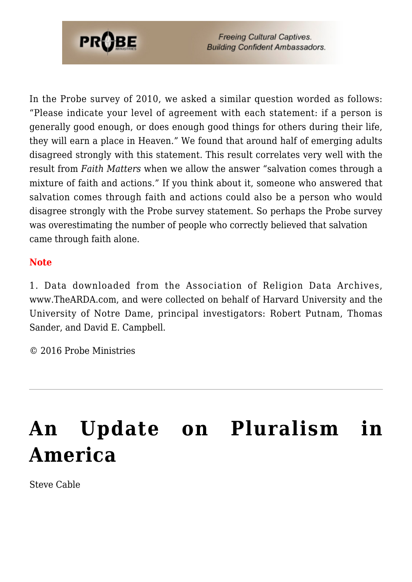

**Freeing Cultural Captives. Building Confident Ambassadors.** 

In the Probe survey of 2010, we asked a similar question worded as follows: "Please indicate your level of agreement with each statement: if a person is generally good enough, or does enough good things for others during their life, they will earn a place in Heaven." We found that around half of emerging adults disagreed strongly with this statement. This result correlates very well with the result from *Faith Matters* when we allow the answer "salvation comes through a mixture of faith and actions." If you think about it, someone who answered that salvation comes through faith and actions could also be a person who would disagree strongly with the Probe survey statement. So perhaps the Probe survey was overestimating the number of people who correctly believed that salvation came through faith alone.

#### **Note**

1. Data downloaded from the Association of Religion Data Archives, www.TheARDA.com, and were collected on behalf of Harvard University and the University of Notre Dame, principal investigators: Robert Putnam, Thomas Sander, and David E. Campbell.

© 2016 Probe Ministries

# **[An Update on Pluralism in](https://probe.org/an-update-on-pluralism-in-america/) [America](https://probe.org/an-update-on-pluralism-in-america/)**

Steve Cable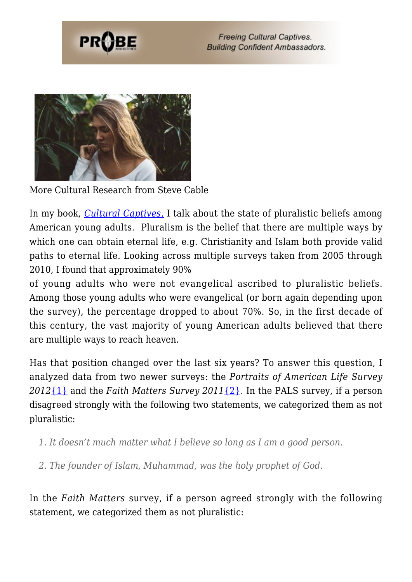



More Cultural Research from Steve Cable

In my book, *[Cultural Captives](https://www.probe.org/store/cultural-captives-by-steven-cable/)*[,](https://www.probe.org/store/cultural-captives-by-steven-cable/) I talk about the state of pluralistic beliefs among American young adults. Pluralism is the belief that there are multiple ways by which one can obtain eternal life, e.g. Christianity and Islam both provide valid paths to eternal life. Looking across multiple surveys taken from 2005 through 2010, I found that approximately 90%

of young adults who were not evangelical ascribed to pluralistic beliefs. Among those young adults who were evangelical (or born again depending upon the survey), the percentage dropped to about 70%. So, in the first decade of this century, the vast majority of young American adults believed that there are multiple ways to reach heaven.

Has that position changed over the last six years? To answer this question, I analyzed data from two newer surveys: the *Portraits of American Life Survey 2012*[{1}](#page-6-0) and the *Faith Matters Survey 2011*[{2}.](#page-6-0) In the PALS survey, if a person disagreed strongly with the following two statements, we categorized them as not pluralistic:

- *1. It doesn't much matter what I believe so long as I am a good person.*
- *2. The founder of Islam, Muhammad, was the holy prophet of God.*

In the *Faith Matters* survey, if a person agreed strongly with the following statement, we categorized them as not pluralistic: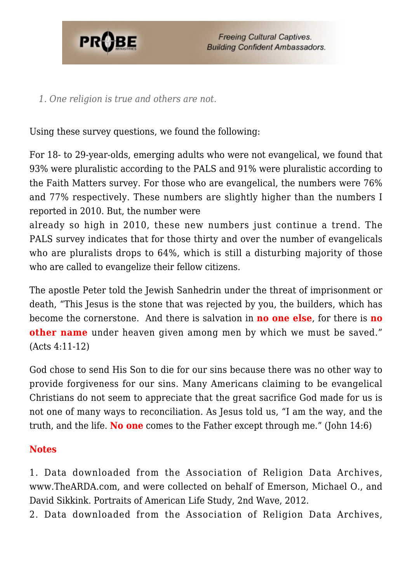

*1. One religion is true and others are not.*

Using these survey questions, we found the following:

For 18- to 29-year-olds, emerging adults who were not evangelical, we found that 93% were pluralistic according to the PALS and 91% were pluralistic according to the Faith Matters survey. For those who are evangelical, the numbers were 76% and 77% respectively. These numbers are slightly higher than the numbers I reported in 2010. But, the number were

already so high in 2010, these new numbers just continue a trend. The PALS survey indicates that for those thirty and over the number of evangelicals who are pluralists drops to 64%, which is still a disturbing majority of those who are called to evangelize their fellow citizens.

The apostle Peter told the Jewish Sanhedrin under the threat of imprisonment or death, "This Jesus is the stone that was rejected by you, the builders, which has become the cornerstone. And there is salvation in **no one else**, for there is **no other name** under heaven given among men by which we must be saved." (Acts 4:11-12)

God chose to send His Son to die for our sins because there was no other way to provide forgiveness for our sins. Many Americans claiming to be evangelical Christians do not seem to appreciate that the great sacrifice God made for us is not one of many ways to reconciliation. As Jesus told us, "I am the way, and the truth, and the life. **No one** comes to the Father except through me." (John 14:6)

### **Notes**

<span id="page-6-0"></span>1. Data downloaded from the Association of Religion Data Archives, www.TheARDA.com, and were collected on behalf of Emerson, Michael O., and David Sikkink. Portraits of American Life Study, 2nd Wave, 2012.

2. Data downloaded from the Association of Religion Data Archives,